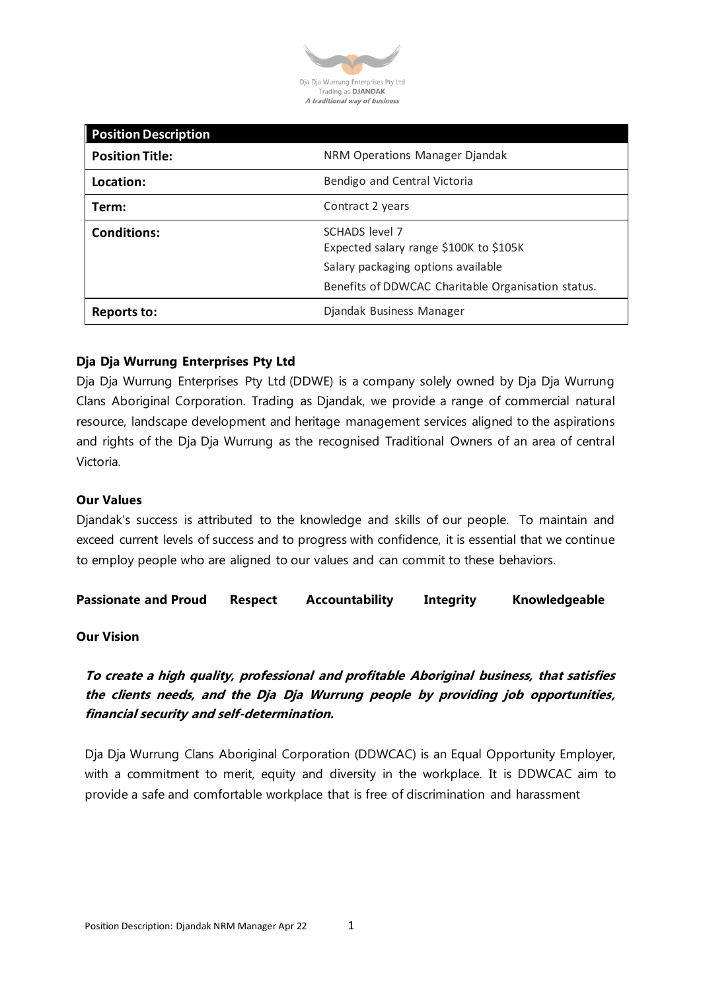

| <b>Position Description</b> |                                                          |
|-----------------------------|----------------------------------------------------------|
| <b>Position Title:</b>      | NRM Operations Manager Djandak                           |
| Location:                   | Bendigo and Central Victoria                             |
| Term:                       | Contract 2 years                                         |
| <b>Conditions:</b>          | SCHADS level 7<br>Expected salary range \$100K to \$105K |
|                             | Salary packaging options available                       |
|                             | Benefits of DDWCAC Charitable Organisation status.       |
| Reports to:                 | Djandak Business Manager                                 |

# **Dja Dja Wurrung Enterprises Pty Ltd**

Dja Dja Wurrung Enterprises Pty Ltd (DDWE) is a company solely owned by Dja Dja Wurrung Clans Aboriginal Corporation. Trading as Djandak, we provide a range of commercial natural resource, landscape development and heritage management services aligned to the aspirations and rights of the Dja Dja Wurrung as the recognised Traditional Owners of an area of central Victoria.

#### **Our Values**

Djandak's success is attributed to the knowledge and skills of our people. To maintain and exceed current levels of success and to progress with confidence, it is essential that we continue to employ people who are aligned to our values and can commit to these behaviors.

**Passionate and Proud Respect Accountability Integrity Knowledgeable**

#### **Our Vision**

**To create a high quality, professional and profitable Aboriginal business, that satisfies the clients needs, and the Dja Dja Wurrung people by providing job opportunities, financial security and self-determination.**

Dja Dja Wurrung Clans Aboriginal Corporation (DDWCAC) is an Equal Opportunity Employer, with a commitment to merit, equity and diversity in the workplace. It is DDWCAC aim to provide a safe and comfortable workplace that is free of discrimination and harassment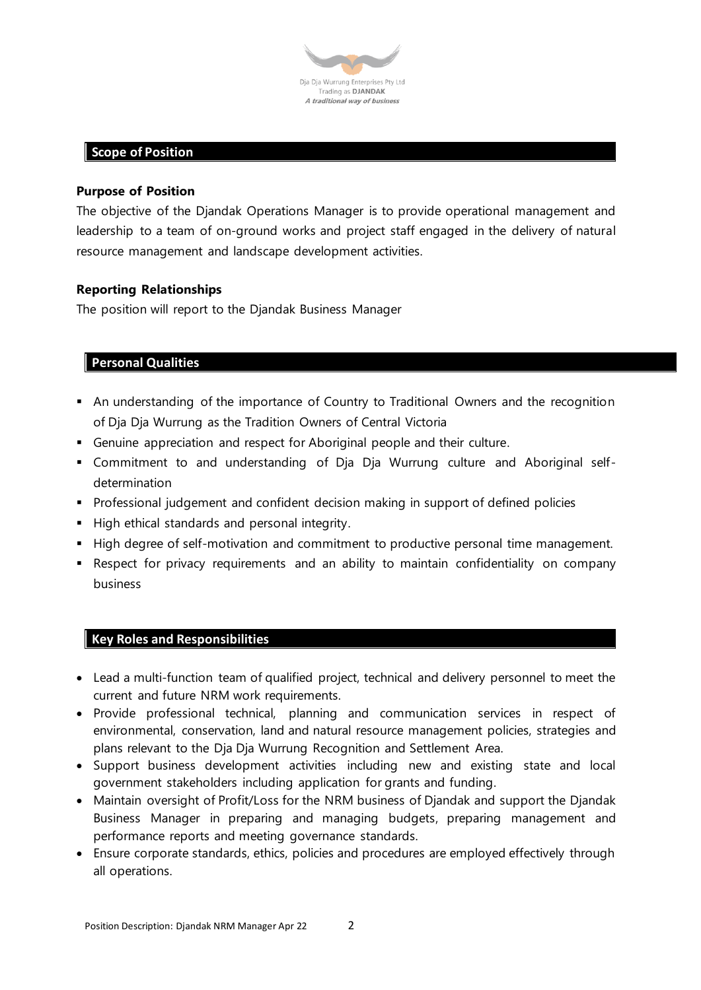

# **Scope of Position**

#### **Purpose of Position**

The objective of the Djandak Operations Manager is to provide operational management and leadership to a team of on-ground works and project staff engaged in the delivery of natural resource management and landscape development activities.

## **Reporting Relationships**

The position will report to the Djandak Business Manager

# **Personal Qualities**

- An understanding of the importance of Country to Traditional Owners and the recognition of Dja Dja Wurrung as the Tradition Owners of Central Victoria
- **•** Genuine appreciation and respect for Aboriginal people and their culture.
- Commitment to and understanding of Dja Dja Wurrung culture and Aboriginal selfdetermination
- **•** Professional judgement and confident decision making in support of defined policies
- **E** High ethical standards and personal integrity.
- High degree of self-motivation and commitment to productive personal time management.
- **E** Respect for privacy requirements and an ability to maintain confidentiality on company business

## **Key Roles and Responsibilities**

- Lead a multi-function team of qualified project, technical and delivery personnel to meet the current and future NRM work requirements.
- Provide professional technical, planning and communication services in respect of environmental, conservation, land and natural resource management policies, strategies and plans relevant to the Dja Dja Wurrung Recognition and Settlement Area.
- Support business development activities including new and existing state and local government stakeholders including application for grants and funding.
- Maintain oversight of Profit/Loss for the NRM business of Djandak and support the Djandak Business Manager in preparing and managing budgets, preparing management and performance reports and meeting governance standards.
- Ensure corporate standards, ethics, policies and procedures are employed effectively through all operations.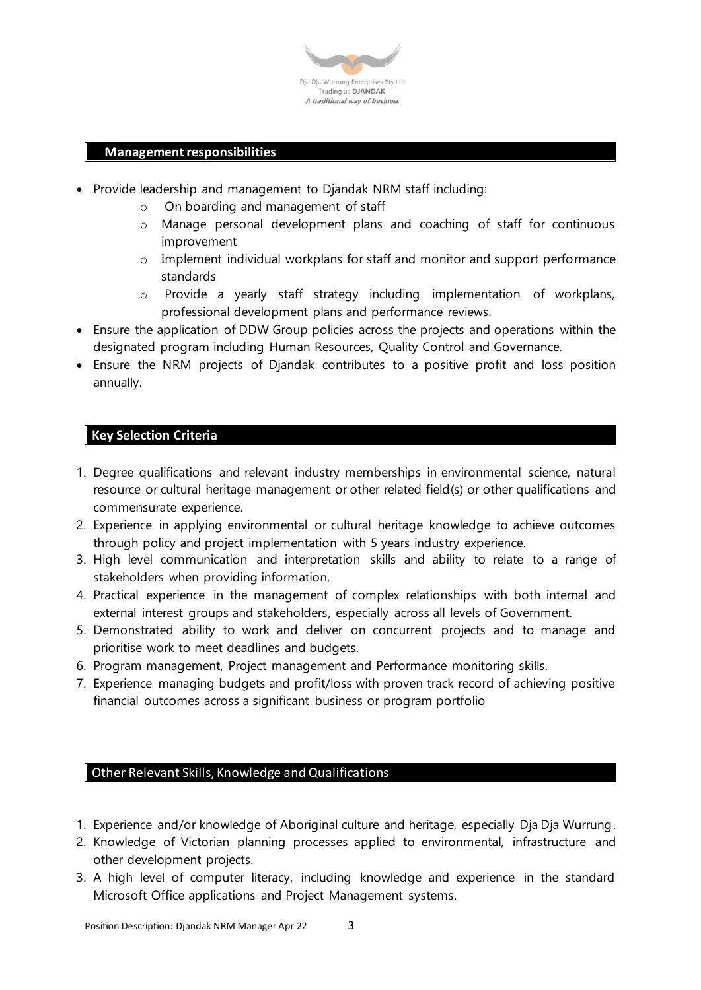

## **Management responsibilities**

- Provide leadership and management to Djandak NRM staff including:
	- o On boarding and management of staff
	- o Manage personal development plans and coaching of staff for continuous improvement
	- o Implement individual workplans for staff and monitor and support performance standards
	- o Provide a yearly staff strategy including implementation of workplans, professional development plans and performance reviews.
- Ensure the application of DDW Group policies across the projects and operations within the designated program including Human Resources, Quality Control and Governance.
- Ensure the NRM projects of Djandak contributes to a positive profit and loss position annually.

## **Key Selection Criteria**

- 1. Degree qualifications and relevant industry memberships in environmental science, natural resource or cultural heritage management or other related field(s) or other qualifications and commensurate experience.
- 2. Experience in applying environmental or cultural heritage knowledge to achieve outcomes through policy and project implementation with 5 years industry experience.
- 3. High level communication and interpretation skills and ability to relate to a range of stakeholders when providing information.
- 4. Practical experience in the management of complex relationships with both internal and external interest groups and stakeholders, especially across all levels of Government.
- 5. Demonstrated ability to work and deliver on concurrent projects and to manage and prioritise work to meet deadlines and budgets.
- 6. Program management, Project management and Performance monitoring skills.
- 7. Experience managing budgets and profit/loss with proven track record of achieving positive financial outcomes across a significant business or program portfolio

## Other Relevant Skills, Knowledge and Qualifications

- 1. Experience and/or knowledge of Aboriginal culture and heritage, especially Dja Dja Wurrung.
- 2. Knowledge of Victorian planning processes applied to environmental, infrastructure and other development projects.
- 3. A high level of computer literacy, including knowledge and experience in the standard Microsoft Office applications and Project Management systems.